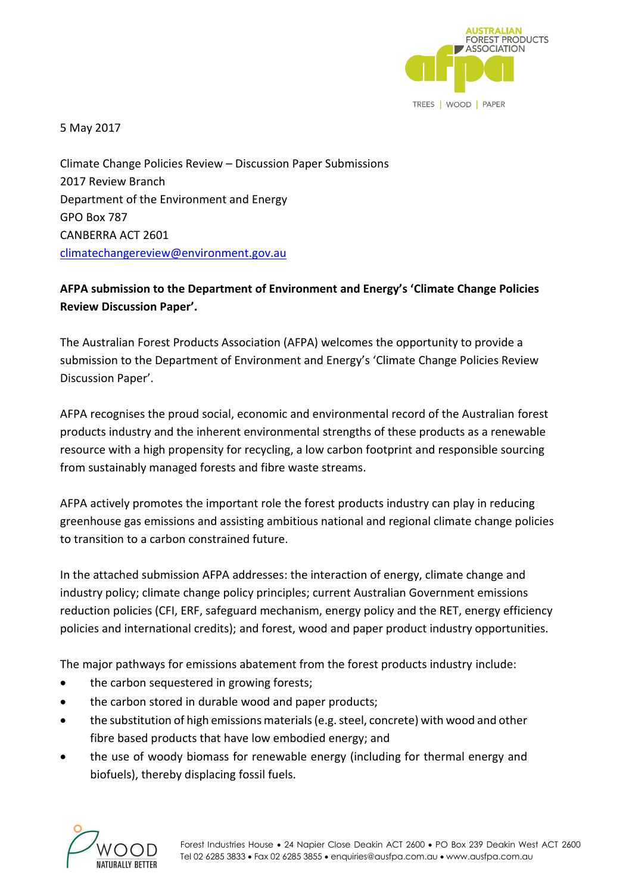

5 May 2017

Climate Change Policies Review – Discussion Paper Submissions 2017 Review Branch Department of the Environment and Energy GPO Box 787 CANBERRA ACT 2601 [climatechangereview@environment.gov.au](file:///C:/Users/Gavin/Documents/Work/Submissions/climatechangereview@environment.gov.au)

# **AFPA submission to the Department of Environment and Energy's 'Climate Change Policies Review Discussion Paper'.**

The Australian Forest Products Association (AFPA) welcomes the opportunity to provide a submission to the Department of Environment and Energy's 'Climate Change Policies Review Discussion Paper'.

AFPA recognises the proud social, economic and environmental record of the Australian forest products industry and the inherent environmental strengths of these products as a renewable resource with a high propensity for recycling, a low carbon footprint and responsible sourcing from sustainably managed forests and fibre waste streams.

AFPA actively promotes the important role the forest products industry can play in reducing greenhouse gas emissions and assisting ambitious national and regional climate change policies to transition to a carbon constrained future.

In the attached submission AFPA addresses: the interaction of energy, climate change and industry policy; climate change policy principles; current Australian Government emissions reduction policies (CFI, ERF, safeguard mechanism, energy policy and the RET, energy efficiency policies and international credits); and forest, wood and paper product industry opportunities.

The major pathways for emissions abatement from the forest products industry include:

- the carbon sequestered in growing forests;
- the carbon stored in durable wood and paper products;
- the substitution of high emissions materials (e.g. steel, concrete) with wood and other fibre based products that have low embodied energy; and
- the use of woody biomass for renewable energy (including for thermal energy and biofuels), thereby displacing fossil fuels.

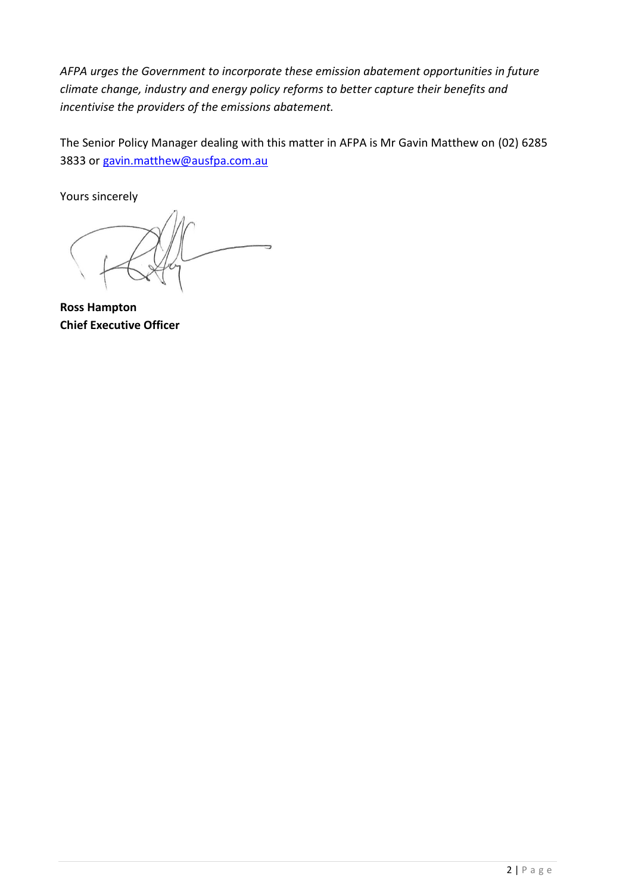*AFPA urges the Government to incorporate these emission abatement opportunities in future climate change, industry and energy policy reforms to better capture their benefits and incentivise the providers of the emissions abatement.*

The Senior Policy Manager dealing with this matter in AFPA is Mr Gavin Matthew on (02) 6285 3833 or [gavin.matthew@ausfpa.com.au](mailto:gavin.matthew@ausfpa.com.au)

Yours sincerely

5

**Ross Hampton Chief Executive Officer**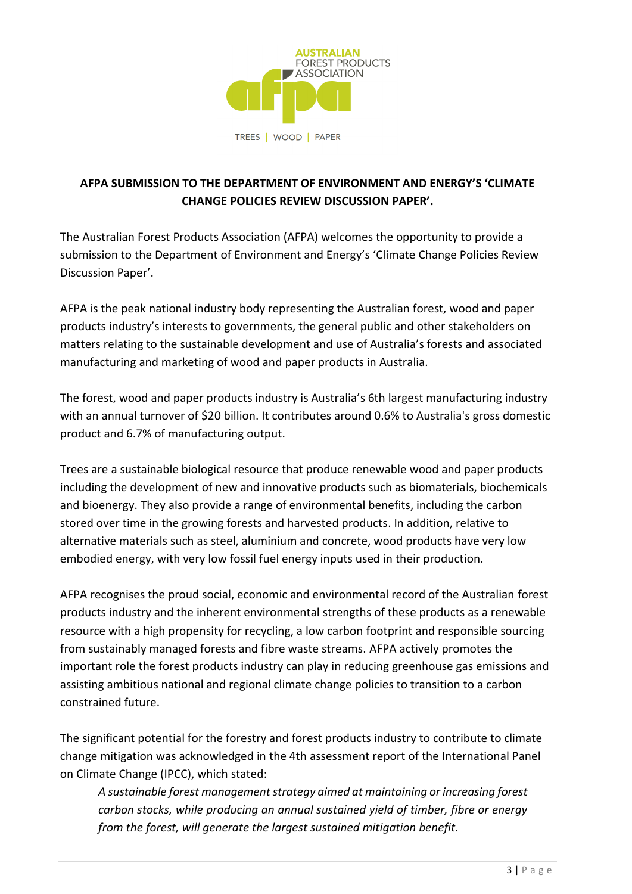

# **AFPA SUBMISSION TO THE DEPARTMENT OF ENVIRONMENT AND ENERGY'S 'CLIMATE CHANGE POLICIES REVIEW DISCUSSION PAPER'.**

The Australian Forest Products Association (AFPA) welcomes the opportunity to provide a submission to the Department of Environment and Energy's 'Climate Change Policies Review Discussion Paper'.

AFPA is the peak national industry body representing the Australian forest, wood and paper products industry's interests to governments, the general public and other stakeholders on matters relating to the sustainable development and use of Australia's forests and associated manufacturing and marketing of wood and paper products in Australia.

The forest, wood and paper products industry is Australia's 6th largest manufacturing industry with an annual turnover of \$20 billion. It contributes around 0.6% to Australia's gross domestic product and 6.7% of manufacturing output.

Trees are a sustainable biological resource that produce renewable wood and paper products including the development of new and innovative products such as biomaterials, biochemicals and bioenergy. They also provide a range of environmental benefits, including the carbon stored over time in the growing forests and harvested products. In addition, relative to alternative materials such as steel, aluminium and concrete, wood products have very low embodied energy, with very low fossil fuel energy inputs used in their production.

AFPA recognises the proud social, economic and environmental record of the Australian forest products industry and the inherent environmental strengths of these products as a renewable resource with a high propensity for recycling, a low carbon footprint and responsible sourcing from sustainably managed forests and fibre waste streams. AFPA actively promotes the important role the forest products industry can play in reducing greenhouse gas emissions and assisting ambitious national and regional climate change policies to transition to a carbon constrained future.

The significant potential for the forestry and forest products industry to contribute to climate change mitigation was acknowledged in the 4th assessment report of the International Panel on Climate Change (IPCC), which stated:

*A sustainable forest management strategy aimed at maintaining or increasing forest carbon stocks, while producing an annual sustained yield of timber, fibre or energy from the forest, will generate the largest sustained mitigation benefit.*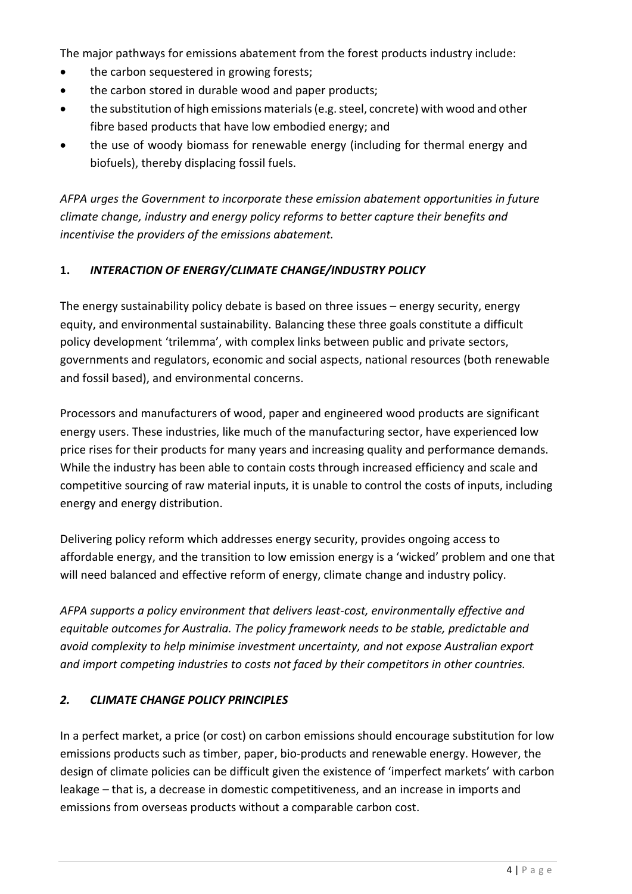The major pathways for emissions abatement from the forest products industry include:

- the carbon sequestered in growing forests;
- the carbon stored in durable wood and paper products;
- the substitution of high emissions materials (e.g. steel, concrete) with wood and other fibre based products that have low embodied energy; and
- the use of woody biomass for renewable energy (including for thermal energy and biofuels), thereby displacing fossil fuels.

*AFPA urges the Government to incorporate these emission abatement opportunities in future climate change, industry and energy policy reforms to better capture their benefits and incentivise the providers of the emissions abatement.*

### **1.** *INTERACTION OF ENERGY/CLIMATE CHANGE/INDUSTRY POLICY*

The energy sustainability policy debate is based on three issues – energy security, energy equity, and environmental sustainability. Balancing these three goals constitute a difficult policy development 'trilemma', with complex links between public and private sectors, governments and regulators, economic and social aspects, national resources (both renewable and fossil based), and environmental concerns.

Processors and manufacturers of wood, paper and engineered wood products are significant energy users. These industries, like much of the manufacturing sector, have experienced low price rises for their products for many years and increasing quality and performance demands. While the industry has been able to contain costs through increased efficiency and scale and competitive sourcing of raw material inputs, it is unable to control the costs of inputs, including energy and energy distribution.

Delivering policy reform which addresses energy security, provides ongoing access to affordable energy, and the transition to low emission energy is a 'wicked' problem and one that will need balanced and effective reform of energy, climate change and industry policy.

*AFPA supports a policy environment that delivers least-cost, environmentally effective and equitable outcomes for Australia. The policy framework needs to be stable, predictable and avoid complexity to help minimise investment uncertainty, and not expose Australian export and import competing industries to costs not faced by their competitors in other countries.*

### *2. CLIMATE CHANGE POLICY PRINCIPLES*

In a perfect market, a price (or cost) on carbon emissions should encourage substitution for low emissions products such as timber, paper, bio-products and renewable energy. However, the design of climate policies can be difficult given the existence of 'imperfect markets' with carbon leakage – that is, a decrease in domestic competitiveness, and an increase in imports and emissions from overseas products without a comparable carbon cost.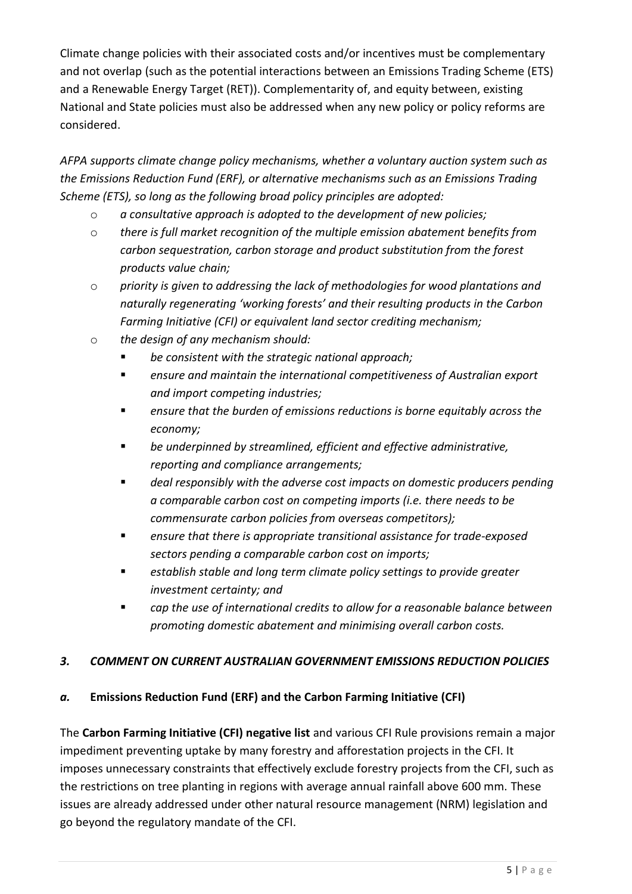Climate change policies with their associated costs and/or incentives must be complementary and not overlap (such as the potential interactions between an Emissions Trading Scheme (ETS) and a Renewable Energy Target (RET)). Complementarity of, and equity between, existing National and State policies must also be addressed when any new policy or policy reforms are considered.

*AFPA supports climate change policy mechanisms, whether a voluntary auction system such as the Emissions Reduction Fund (ERF), or alternative mechanisms such as an Emissions Trading Scheme (ETS), so long as the following broad policy principles are adopted:*

- o *a consultative approach is adopted to the development of new policies;*
- o *there is full market recognition of the multiple emission abatement benefits from carbon sequestration, carbon storage and product substitution from the forest products value chain;*
- o *priority is given to addressing the lack of methodologies for wood plantations and naturally regenerating 'working forests' and their resulting products in the Carbon Farming Initiative (CFI) or equivalent land sector crediting mechanism;*
- o *the design of any mechanism should:*
	- *be consistent with the strategic national approach;*
	- *ensure and maintain the international competitiveness of Australian export and import competing industries;*
	- *ensure that the burden of emissions reductions is borne equitably across the economy;*
	- be underpinned by streamlined, efficient and effective administrative, *reporting and compliance arrangements;*
	- *deal responsibly with the adverse cost impacts on domestic producers pending a comparable carbon cost on competing imports (i.e. there needs to be commensurate carbon policies from overseas competitors);*
	- *ensure that there is appropriate transitional assistance for trade-exposed sectors pending a comparable carbon cost on imports;*
	- establish stable and long term climate policy settings to provide greater *investment certainty; and*
	- *cap the use of international credits to allow for a reasonable balance between promoting domestic abatement and minimising overall carbon costs.*

## *3. COMMENT ON CURRENT AUSTRALIAN GOVERNMENT EMISSIONS REDUCTION POLICIES*

## *a.* **Emissions Reduction Fund (ERF) and the Carbon Farming Initiative (CFI)**

The **Carbon Farming Initiative (CFI) negative list** and various CFI Rule provisions remain a major impediment preventing uptake by many forestry and afforestation projects in the CFI. It imposes unnecessary constraints that effectively exclude forestry projects from the CFI, such as the restrictions on tree planting in regions with average annual rainfall above 600 mm. These issues are already addressed under other natural resource management (NRM) legislation and go beyond the regulatory mandate of the CFI.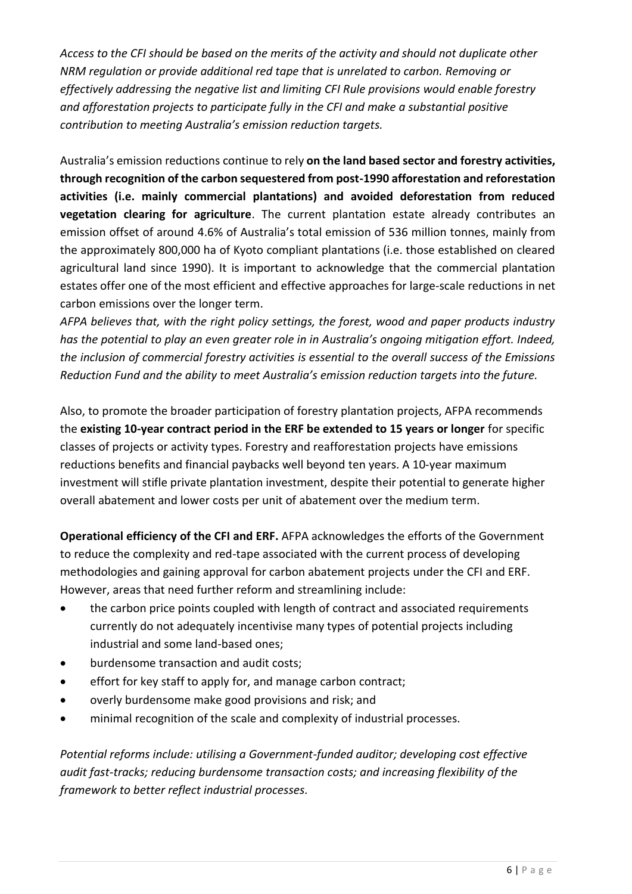*Access to the CFI should be based on the merits of the activity and should not duplicate other NRM regulation or provide additional red tape that is unrelated to carbon. Removing or effectively addressing the negative list and limiting CFI Rule provisions would enable forestry and afforestation projects to participate fully in the CFI and make a substantial positive contribution to meeting Australia's emission reduction targets.*

Australia's emission reductions continue to rely **on the land based sector and forestry activities, through recognition of the carbon sequestered from post-1990 afforestation and reforestation activities (i.e. mainly commercial plantations) and avoided deforestation from reduced vegetation clearing for agriculture**. The current plantation estate already contributes an emission offset of around 4.6% of Australia's total emission of 536 million tonnes, mainly from the approximately 800,000 ha of Kyoto compliant plantations (i.e. those established on cleared agricultural land since 1990). It is important to acknowledge that the commercial plantation estates offer one of the most efficient and effective approaches for large-scale reductions in net carbon emissions over the longer term.

*AFPA believes that, with the right policy settings, the forest, wood and paper products industry has the potential to play an even greater role in in Australia's ongoing mitigation effort. Indeed, the inclusion of commercial forestry activities is essential to the overall success of the Emissions Reduction Fund and the ability to meet Australia's emission reduction targets into the future.* 

Also, to promote the broader participation of forestry plantation projects, AFPA recommends the **existing 10-year contract period in the ERF be extended to 15 years or longer** for specific classes of projects or activity types. Forestry and reafforestation projects have emissions reductions benefits and financial paybacks well beyond ten years. A 10-year maximum investment will stifle private plantation investment, despite their potential to generate higher overall abatement and lower costs per unit of abatement over the medium term.

**Operational efficiency of the CFI and ERF.** AFPA acknowledges the efforts of the Government to reduce the complexity and red-tape associated with the current process of developing methodologies and gaining approval for carbon abatement projects under the CFI and ERF. However, areas that need further reform and streamlining include:

- the carbon price points coupled with length of contract and associated requirements currently do not adequately incentivise many types of potential projects including industrial and some land-based ones;
- burdensome transaction and audit costs;
- effort for key staff to apply for, and manage carbon contract;
- overly burdensome make good provisions and risk; and
- minimal recognition of the scale and complexity of industrial processes.

*Potential reforms include: utilising a Government-funded auditor; developing cost effective audit fast-tracks; reducing burdensome transaction costs; and increasing flexibility of the framework to better reflect industrial processes.*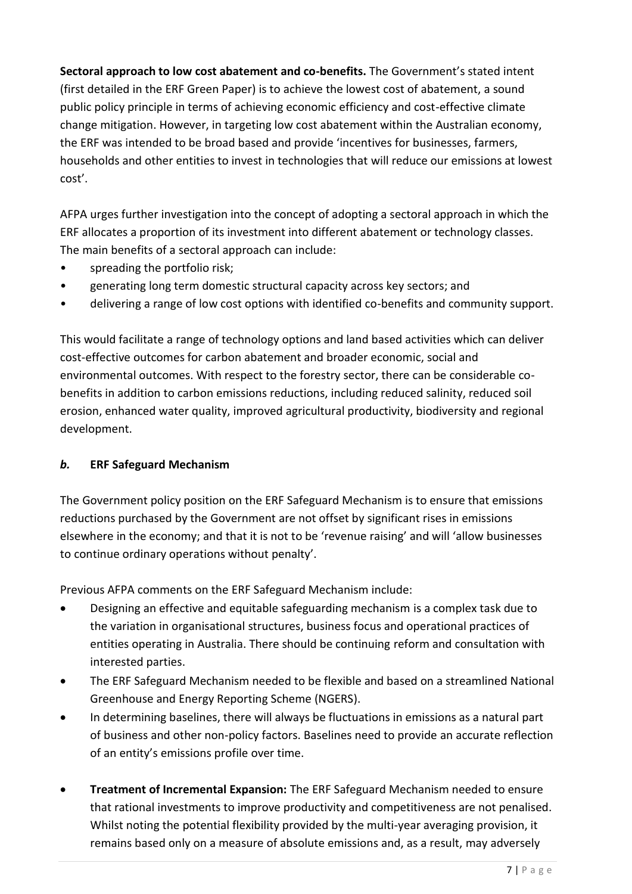**Sectoral approach to low cost abatement and co-benefits.** The Government's stated intent (first detailed in the ERF Green Paper) is to achieve the lowest cost of abatement, a sound public policy principle in terms of achieving economic efficiency and cost-effective climate change mitigation. However, in targeting low cost abatement within the Australian economy, the ERF was intended to be broad based and provide 'incentives for businesses, farmers, households and other entities to invest in technologies that will reduce our emissions at lowest cost'.

AFPA urges further investigation into the concept of adopting a sectoral approach in which the ERF allocates a proportion of its investment into different abatement or technology classes. The main benefits of a sectoral approach can include:

- spreading the portfolio risk;
- generating long term domestic structural capacity across key sectors; and
- delivering a range of low cost options with identified co-benefits and community support.

This would facilitate a range of technology options and land based activities which can deliver cost-effective outcomes for carbon abatement and broader economic, social and environmental outcomes. With respect to the forestry sector, there can be considerable cobenefits in addition to carbon emissions reductions, including reduced salinity, reduced soil erosion, enhanced water quality, improved agricultural productivity, biodiversity and regional development.

## *b.* **ERF Safeguard Mechanism**

The Government policy position on the ERF Safeguard Mechanism is to ensure that emissions reductions purchased by the Government are not offset by significant rises in emissions elsewhere in the economy; and that it is not to be 'revenue raising' and will 'allow businesses to continue ordinary operations without penalty'.

Previous AFPA comments on the ERF Safeguard Mechanism include:

- Designing an effective and equitable safeguarding mechanism is a complex task due to the variation in organisational structures, business focus and operational practices of entities operating in Australia. There should be continuing reform and consultation with interested parties.
- The ERF Safeguard Mechanism needed to be flexible and based on a streamlined National Greenhouse and Energy Reporting Scheme (NGERS).
- In determining baselines, there will always be fluctuations in emissions as a natural part of business and other non-policy factors. Baselines need to provide an accurate reflection of an entity's emissions profile over time.
- **Treatment of Incremental Expansion:** The ERF Safeguard Mechanism needed to ensure that rational investments to improve productivity and competitiveness are not penalised. Whilst noting the potential flexibility provided by the multi-year averaging provision, it remains based only on a measure of absolute emissions and, as a result, may adversely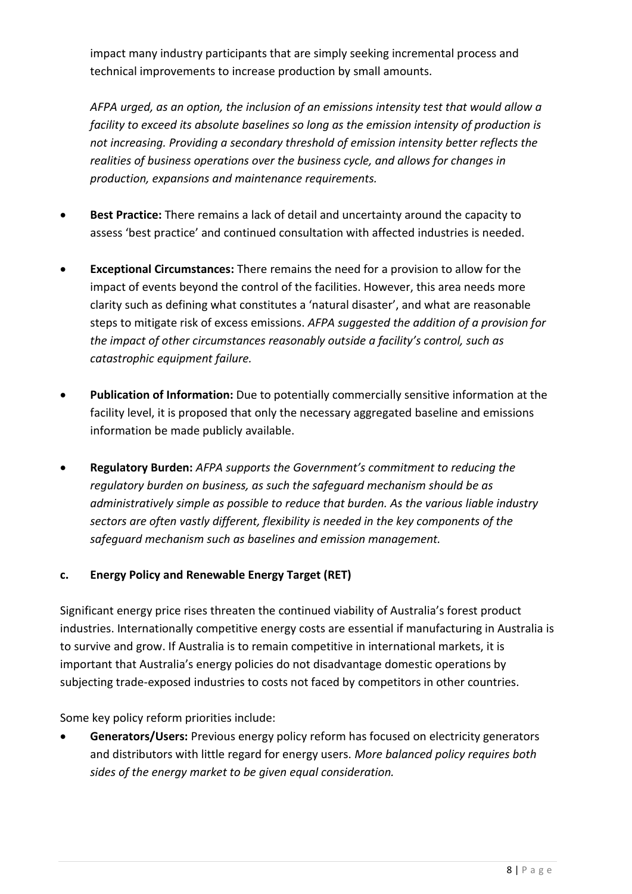impact many industry participants that are simply seeking incremental process and technical improvements to increase production by small amounts.

*AFPA urged, as an option, the inclusion of an emissions intensity test that would allow a facility to exceed its absolute baselines so long as the emission intensity of production is not increasing. Providing a secondary threshold of emission intensity better reflects the realities of business operations over the business cycle, and allows for changes in production, expansions and maintenance requirements.*

- **Best Practice:** There remains a lack of detail and uncertainty around the capacity to assess 'best practice' and continued consultation with affected industries is needed.
- **Exceptional Circumstances:** There remains the need for a provision to allow for the impact of events beyond the control of the facilities. However, this area needs more clarity such as defining what constitutes a 'natural disaster', and what are reasonable steps to mitigate risk of excess emissions. *AFPA suggested the addition of a provision for the impact of other circumstances reasonably outside a facility's control, such as catastrophic equipment failure.*
- **Publication of Information:** Due to potentially commercially sensitive information at the facility level, it is proposed that only the necessary aggregated baseline and emissions information be made publicly available.
- **Regulatory Burden:** *AFPA supports the Government's commitment to reducing the regulatory burden on business, as such the safeguard mechanism should be as administratively simple as possible to reduce that burden. As the various liable industry sectors are often vastly different, flexibility is needed in the key components of the safeguard mechanism such as baselines and emission management.*

## **c. Energy Policy and Renewable Energy Target (RET)**

Significant energy price rises threaten the continued viability of Australia's forest product industries. Internationally competitive energy costs are essential if manufacturing in Australia is to survive and grow. If Australia is to remain competitive in international markets, it is important that Australia's energy policies do not disadvantage domestic operations by subjecting trade-exposed industries to costs not faced by competitors in other countries.

Some key policy reform priorities include:

• **Generators/Users:** Previous energy policy reform has focused on electricity generators and distributors with little regard for energy users. *More balanced policy requires both sides of the energy market to be given equal consideration.*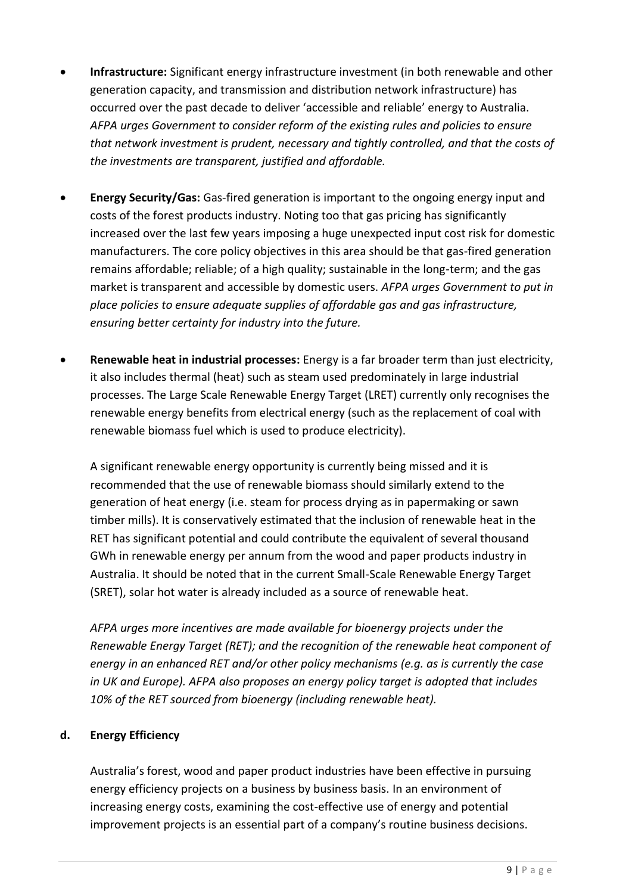- **Infrastructure:** Significant energy infrastructure investment (in both renewable and other generation capacity, and transmission and distribution network infrastructure) has occurred over the past decade to deliver 'accessible and reliable' energy to Australia. *AFPA urges Government to consider reform of the existing rules and policies to ensure that network investment is prudent, necessary and tightly controlled, and that the costs of the investments are transparent, justified and affordable.*
- **Energy Security/Gas:** Gas-fired generation is important to the ongoing energy input and costs of the forest products industry. Noting too that gas pricing has significantly increased over the last few years imposing a huge unexpected input cost risk for domestic manufacturers. The core policy objectives in this area should be that gas-fired generation remains affordable; reliable; of a high quality; sustainable in the long-term; and the gas market is transparent and accessible by domestic users. *AFPA urges Government to put in place policies to ensure adequate supplies of affordable gas and gas infrastructure, ensuring better certainty for industry into the future.*
- **Renewable heat in industrial processes:** Energy is a far broader term than just electricity, it also includes thermal (heat) such as steam used predominately in large industrial processes. The Large Scale Renewable Energy Target (LRET) currently only recognises the renewable energy benefits from electrical energy (such as the replacement of coal with renewable biomass fuel which is used to produce electricity).

A significant renewable energy opportunity is currently being missed and it is recommended that the use of renewable biomass should similarly extend to the generation of heat energy (i.e. steam for process drying as in papermaking or sawn timber mills). It is conservatively estimated that the inclusion of renewable heat in the RET has significant potential and could contribute the equivalent of several thousand GWh in renewable energy per annum from the wood and paper products industry in Australia. It should be noted that in the current Small-Scale Renewable Energy Target (SRET), solar hot water is already included as a source of renewable heat.

*AFPA urges more incentives are made available for bioenergy projects under the Renewable Energy Target (RET); and the recognition of the renewable heat component of energy in an enhanced RET and/or other policy mechanisms (e.g. as is currently the case in UK and Europe). AFPA also proposes an energy policy target is adopted that includes 10% of the RET sourced from bioenergy (including renewable heat).*

## **d. Energy Efficiency**

Australia's forest, wood and paper product industries have been effective in pursuing energy efficiency projects on a business by business basis. In an environment of increasing energy costs, examining the cost-effective use of energy and potential improvement projects is an essential part of a company's routine business decisions.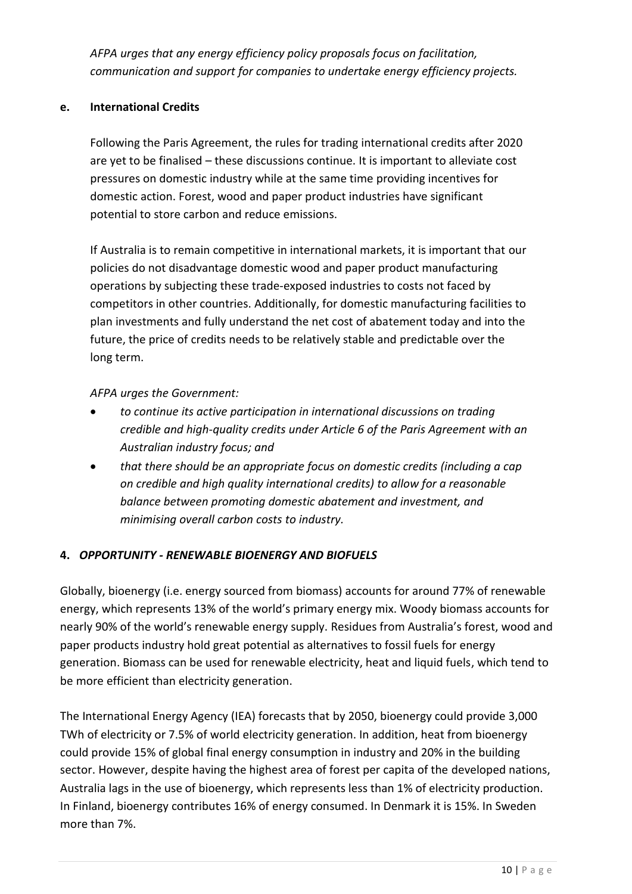*AFPA urges that any energy efficiency policy proposals focus on facilitation, communication and support for companies to undertake energy efficiency projects.*

### **e. International Credits**

Following the Paris Agreement, the rules for trading international credits after 2020 are yet to be finalised – these discussions continue. It is important to alleviate cost pressures on domestic industry while at the same time providing incentives for domestic action. Forest, wood and paper product industries have significant potential to store carbon and reduce emissions.

If Australia is to remain competitive in international markets, it is important that our policies do not disadvantage domestic wood and paper product manufacturing operations by subjecting these trade-exposed industries to costs not faced by competitors in other countries. Additionally, for domestic manufacturing facilities to plan investments and fully understand the net cost of abatement today and into the future, the price of credits needs to be relatively stable and predictable over the long term.

### *AFPA urges the Government:*

- *to continue its active participation in international discussions on trading credible and high-quality credits under Article 6 of the Paris Agreement with an Australian industry focus; and*
- *that there should be an appropriate focus on domestic credits (including a cap on credible and high quality international credits) to allow for a reasonable balance between promoting domestic abatement and investment, and minimising overall carbon costs to industry.*

## **4.** *OPPORTUNITY - RENEWABLE BIOENERGY AND BIOFUELS*

Globally, bioenergy (i.e. energy sourced from biomass) accounts for around 77% of renewable energy, which represents 13% of the world's primary energy mix. Woody biomass accounts for nearly 90% of the world's renewable energy supply. Residues from Australia's forest, wood and paper products industry hold great potential as alternatives to fossil fuels for energy generation. Biomass can be used for renewable electricity, heat and liquid fuels, which tend to be more efficient than electricity generation.

The International Energy Agency (IEA) forecasts that by 2050, bioenergy could provide 3,000 TWh of electricity or 7.5% of world electricity generation. In addition, heat from bioenergy could provide 15% of global final energy consumption in industry and 20% in the building sector. However, despite having the highest area of forest per capita of the developed nations, Australia lags in the use of bioenergy, which represents less than 1% of electricity production. In Finland, bioenergy contributes 16% of energy consumed. In Denmark it is 15%. In Sweden more than 7%.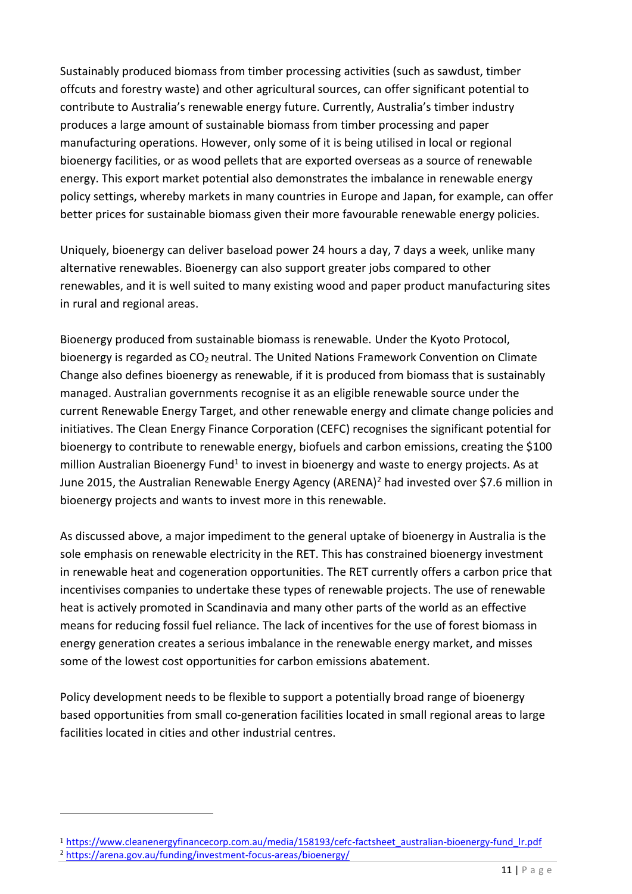Sustainably produced biomass from timber processing activities (such as sawdust, timber offcuts and forestry waste) and other agricultural sources, can offer significant potential to contribute to Australia's renewable energy future. Currently, Australia's timber industry produces a large amount of sustainable biomass from timber processing and paper manufacturing operations. However, only some of it is being utilised in local or regional bioenergy facilities, or as wood pellets that are exported overseas as a source of renewable energy. This export market potential also demonstrates the imbalance in renewable energy policy settings, whereby markets in many countries in Europe and Japan, for example, can offer better prices for sustainable biomass given their more favourable renewable energy policies.

Uniquely, bioenergy can deliver baseload power 24 hours a day, 7 days a week, unlike many alternative renewables. Bioenergy can also support greater jobs compared to other renewables, and it is well suited to many existing wood and paper product manufacturing sites in rural and regional areas.

Bioenergy produced from sustainable biomass is renewable. Under the Kyoto Protocol, bioenergy is regarded as  $CO<sub>2</sub>$  neutral. The United Nations Framework Convention on Climate Change also defines bioenergy as renewable, if it is produced from biomass that is sustainably managed. Australian governments recognise it as an eligible renewable source under the current Renewable Energy Target, and other renewable energy and climate change policies and initiatives. The Clean Energy Finance Corporation (CEFC) recognises the significant potential for bioenergy to contribute to renewable energy, biofuels and carbon emissions, creating the \$100 million Australian Bioenergy Fund<sup>1</sup> to invest in bioenergy and waste to energy projects. As at June 2015, the Australian Renewable Energy Agency (ARENA)<sup>2</sup> had invested over \$7.6 million in bioenergy projects and wants to invest more in this renewable.

As discussed above, a major impediment to the general uptake of bioenergy in Australia is the sole emphasis on renewable electricity in the RET. This has constrained bioenergy investment in renewable heat and cogeneration opportunities. The RET currently offers a carbon price that incentivises companies to undertake these types of renewable projects. The use of renewable heat is actively promoted in Scandinavia and many other parts of the world as an effective means for reducing fossil fuel reliance. The lack of incentives for the use of forest biomass in energy generation creates a serious imbalance in the renewable energy market, and misses some of the lowest cost opportunities for carbon emissions abatement.

Policy development needs to be flexible to support a potentially broad range of bioenergy based opportunities from small co-generation facilities located in small regional areas to large facilities located in cities and other industrial centres.

<sup>1</sup> [https://www.cleanenergyfinancecorp.com.au/media/158193/cefc-factsheet\\_australian-bioenergy-fund\\_lr.pdf](https://www.cleanenergyfinancecorp.com.au/media/158193/cefc-factsheet_australian-bioenergy-fund_lr.pdf) <sup>2</sup> <https://arena.gov.au/funding/investment-focus-areas/bioenergy/>

-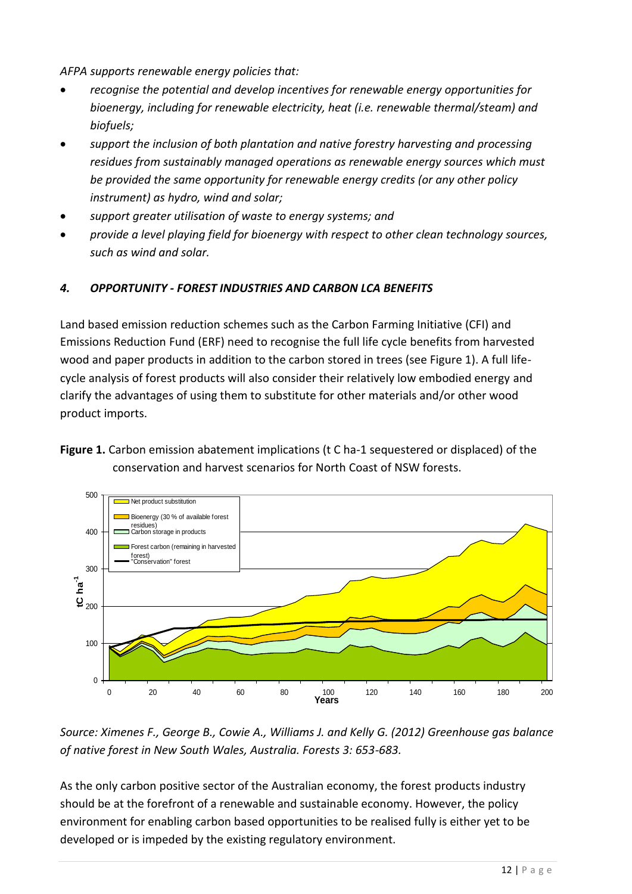*AFPA supports renewable energy policies that:*

- *recognise the potential and develop incentives for renewable energy opportunities for bioenergy, including for renewable electricity, heat (i.e. renewable thermal/steam) and biofuels;*
- *support the inclusion of both plantation and native forestry harvesting and processing residues from sustainably managed operations as renewable energy sources which must be provided the same opportunity for renewable energy credits (or any other policy instrument) as hydro, wind and solar;*
- *support greater utilisation of waste to energy systems; and*
- *provide a level playing field for bioenergy with respect to other clean technology sources, such as wind and solar.*

# *4. OPPORTUNITY - FOREST INDUSTRIES AND CARBON LCA BENEFITS*

Land based emission reduction schemes such as the Carbon Farming Initiative (CFI) and Emissions Reduction Fund (ERF) need to recognise the full life cycle benefits from harvested wood and paper products in addition to the carbon stored in trees (see Figure 1). A full lifecycle analysis of forest products will also consider their relatively low embodied energy and clarify the advantages of using them to substitute for other materials and/or other wood product imports.

**Figure 1.** Carbon emission abatement implications (t C ha-1 sequestered or displaced) of the conservation and harvest scenarios for North Coast of NSW forests.



*Source: Ximenes F., George B., Cowie A., Williams J. and Kelly G. (2012) Greenhouse gas balance of native forest in New South Wales, Australia. Forests 3: 653-683.*

As the only carbon positive sector of the Australian economy, the forest products industry should be at the forefront of a renewable and sustainable economy. However, the policy environment for enabling carbon based opportunities to be realised fully is either yet to be developed or is impeded by the existing regulatory environment.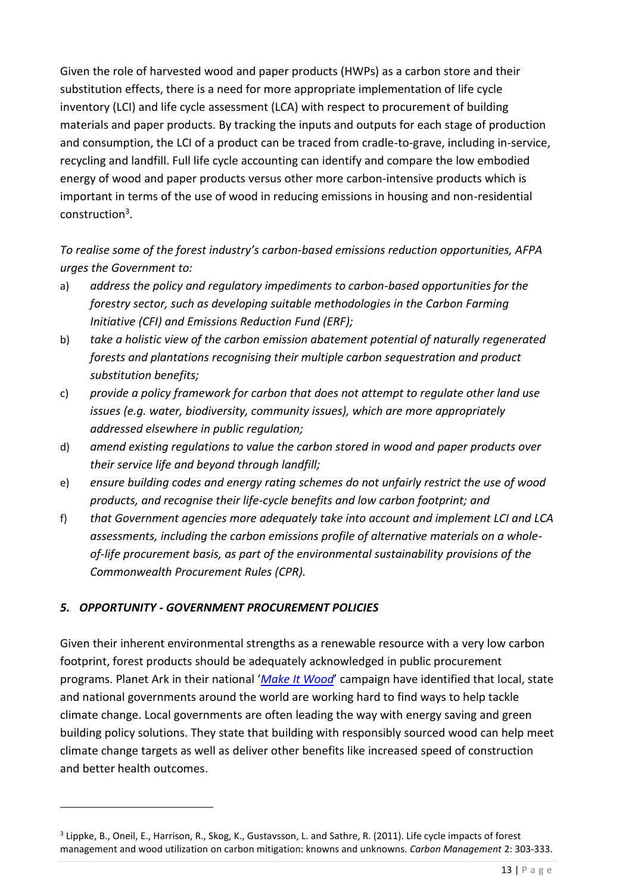Given the role of harvested wood and paper products (HWPs) as a carbon store and their substitution effects, there is a need for more appropriate implementation of life cycle inventory (LCI) and life cycle assessment (LCA) with respect to procurement of building materials and paper products. By tracking the inputs and outputs for each stage of production and consumption, the LCI of a product can be traced from cradle-to-grave, including in-service, recycling and landfill. Full life cycle accounting can identify and compare the low embodied energy of wood and paper products versus other more carbon-intensive products which is important in terms of the use of wood in reducing emissions in housing and non-residential construction<sup>3</sup>.

*To realise some of the forest industry's carbon-based emissions reduction opportunities, AFPA urges the Government to:*

- a) *address the policy and regulatory impediments to carbon-based opportunities for the forestry sector, such as developing suitable methodologies in the Carbon Farming Initiative (CFI) and Emissions Reduction Fund (ERF);*
- b) *take a holistic view of the carbon emission abatement potential of naturally regenerated forests and plantations recognising their multiple carbon sequestration and product substitution benefits;*
- c) *provide a policy framework for carbon that does not attempt to regulate other land use issues (e.g. water, biodiversity, community issues), which are more appropriately addressed elsewhere in public regulation;*
- d) *amend existing regulations to value the carbon stored in wood and paper products over their service life and beyond through landfill;*
- e) *ensure building codes and energy rating schemes do not unfairly restrict the use of wood products, and recognise their life-cycle benefits and low carbon footprint; and*
- f) *that Government agencies more adequately take into account and implement LCI and LCA assessments, including the carbon emissions profile of alternative materials on a wholeof-life procurement basis, as part of the environmental sustainability provisions of the Commonwealth Procurement Rules (CPR).*

## *5. OPPORTUNITY - GOVERNMENT PROCUREMENT POLICIES*

<u>.</u>

Given their inherent environmental strengths as a renewable resource with a very low carbon footprint, forest products should be adequately acknowledged in public procurement programs. Planet Ark in their national '*Make [It Wood](http://makeitwood.org/wep/)*' campaign have identified that local, state and national governments around the world are working hard to find ways to help tackle climate change. Local governments are often leading the way with energy saving and green building policy solutions. They state that building with responsibly sourced wood can help meet climate change targets as well as deliver other benefits like increased speed of construction and better health outcomes.

<sup>&</sup>lt;sup>3</sup> Lippke, B., Oneil, E., Harrison, R., Skog, K., Gustavsson, L. and Sathre, R. (2011). Life cycle impacts of forest management and wood utilization on carbon mitigation: knowns and unknowns. *Carbon Management* 2: 303-333.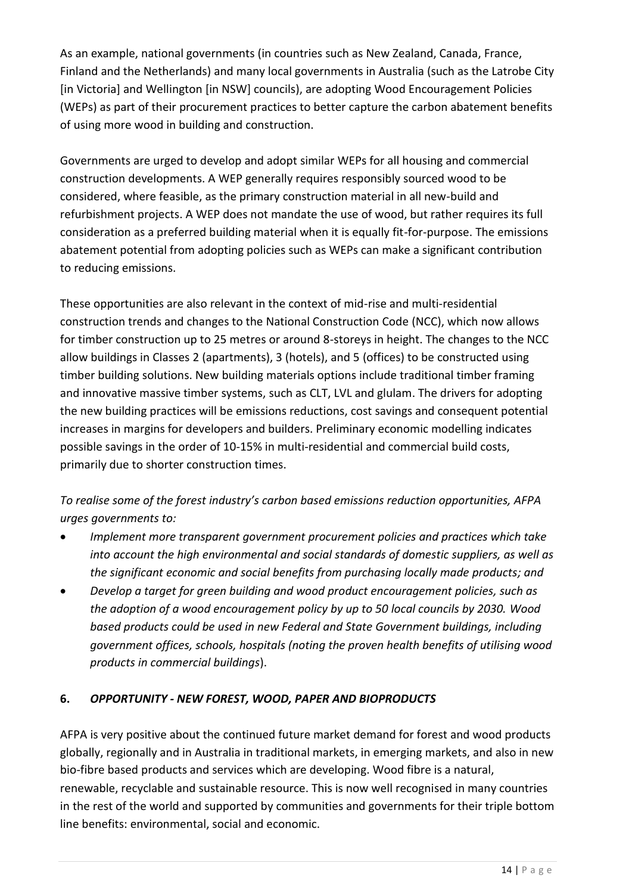As an example, national governments (in countries such as New Zealand, Canada, France, Finland and the Netherlands) and many local governments in Australia (such as the Latrobe City [in Victoria] and Wellington [in NSW] councils), are adopting Wood Encouragement Policies (WEPs) as part of their procurement practices to better capture the carbon abatement benefits of using more wood in building and construction.

Governments are urged to develop and adopt similar WEPs for all housing and commercial construction developments. A WEP generally requires responsibly sourced wood to be considered, where feasible, as the primary construction material in all new-build and refurbishment projects. A WEP does not mandate the use of wood, but rather requires its full consideration as a preferred building material when it is equally fit-for-purpose. The emissions abatement potential from adopting policies such as WEPs can make a significant contribution to reducing emissions.

These opportunities are also relevant in the context of mid-rise and multi-residential construction trends and changes to the National Construction Code (NCC), which now allows for timber construction up to 25 metres or around 8-storeys in height. The changes to the NCC allow buildings in Classes 2 (apartments), 3 (hotels), and 5 (offices) to be constructed using timber building solutions. New building materials options include traditional timber framing and innovative massive timber systems, such as CLT, LVL and glulam. The drivers for adopting the new building practices will be emissions reductions, cost savings and consequent potential increases in margins for developers and builders. Preliminary economic modelling indicates possible savings in the order of 10-15% in multi-residential and commercial build costs, primarily due to shorter construction times.

# *To realise some of the forest industry's carbon based emissions reduction opportunities, AFPA urges governments to:*

- *Implement more transparent government procurement policies and practices which take into account the high environmental and social standards of domestic suppliers, as well as the significant economic and social benefits from purchasing locally made products; and*
- *Develop a target for green building and wood product encouragement policies, such as the adoption of a wood encouragement policy by up to 50 local councils by 2030. Wood based products could be used in new Federal and State Government buildings, including government offices, schools, hospitals (noting the proven health benefits of utilising wood products in commercial buildings*).

## **6.** *OPPORTUNITY - NEW FOREST, WOOD, PAPER AND BIOPRODUCTS*

AFPA is very positive about the continued future market demand for forest and wood products globally, regionally and in Australia in traditional markets, in emerging markets, and also in new bio-fibre based products and services which are developing. Wood fibre is a natural, renewable, recyclable and sustainable resource. This is now well recognised in many countries in the rest of the world and supported by communities and governments for their triple bottom line benefits: environmental, social and economic.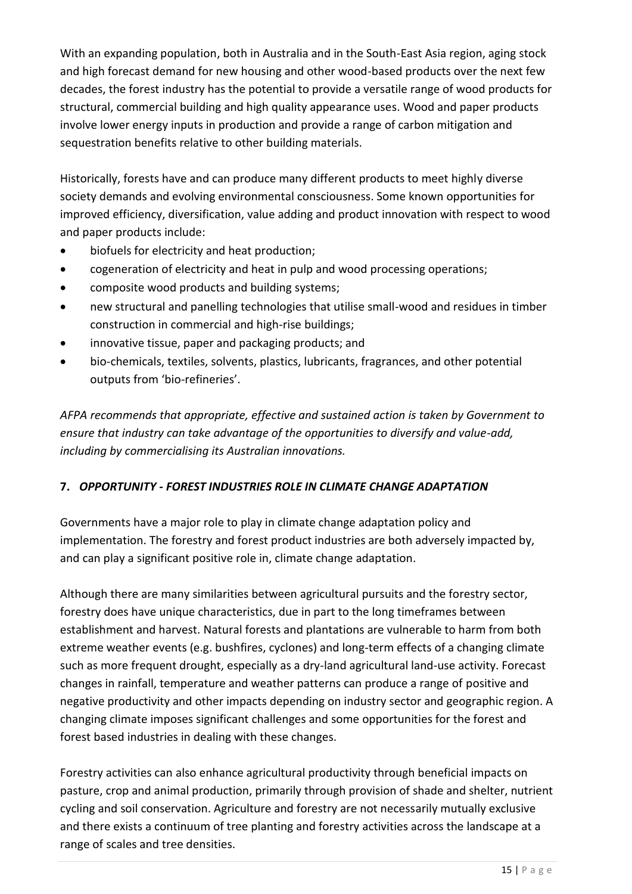With an expanding population, both in Australia and in the South-East Asia region, aging stock and high forecast demand for new housing and other wood-based products over the next few decades, the forest industry has the potential to provide a versatile range of wood products for structural, commercial building and high quality appearance uses. Wood and paper products involve lower energy inputs in production and provide a range of carbon mitigation and sequestration benefits relative to other building materials.

Historically, forests have and can produce many different products to meet highly diverse society demands and evolving environmental consciousness. Some known opportunities for improved efficiency, diversification, value adding and product innovation with respect to wood and paper products include:

- biofuels for electricity and heat production;
- cogeneration of electricity and heat in pulp and wood processing operations;
- composite wood products and building systems;
- new structural and panelling technologies that utilise small-wood and residues in timber construction in commercial and high-rise buildings;
- innovative tissue, paper and packaging products; and
- bio-chemicals, textiles, solvents, plastics, lubricants, fragrances, and other potential outputs from 'bio-refineries'.

*AFPA recommends that appropriate, effective and sustained action is taken by Government to ensure that industry can take advantage of the opportunities to diversify and value-add, including by commercialising its Australian innovations.*

## **7.** *OPPORTUNITY - FOREST INDUSTRIES ROLE IN CLIMATE CHANGE ADAPTATION*

Governments have a major role to play in climate change adaptation policy and implementation. The forestry and forest product industries are both adversely impacted by, and can play a significant positive role in, climate change adaptation.

Although there are many similarities between agricultural pursuits and the forestry sector, forestry does have unique characteristics, due in part to the long timeframes between establishment and harvest. Natural forests and plantations are vulnerable to harm from both extreme weather events (e.g. bushfires, cyclones) and long-term effects of a changing climate such as more frequent drought, especially as a dry-land agricultural land-use activity. Forecast changes in rainfall, temperature and weather patterns can produce a range of positive and negative productivity and other impacts depending on industry sector and geographic region. A changing climate imposes significant challenges and some opportunities for the forest and forest based industries in dealing with these changes.

Forestry activities can also enhance agricultural productivity through beneficial impacts on pasture, crop and animal production, primarily through provision of shade and shelter, nutrient cycling and soil conservation. Agriculture and forestry are not necessarily mutually exclusive and there exists a continuum of tree planting and forestry activities across the landscape at a range of scales and tree densities.